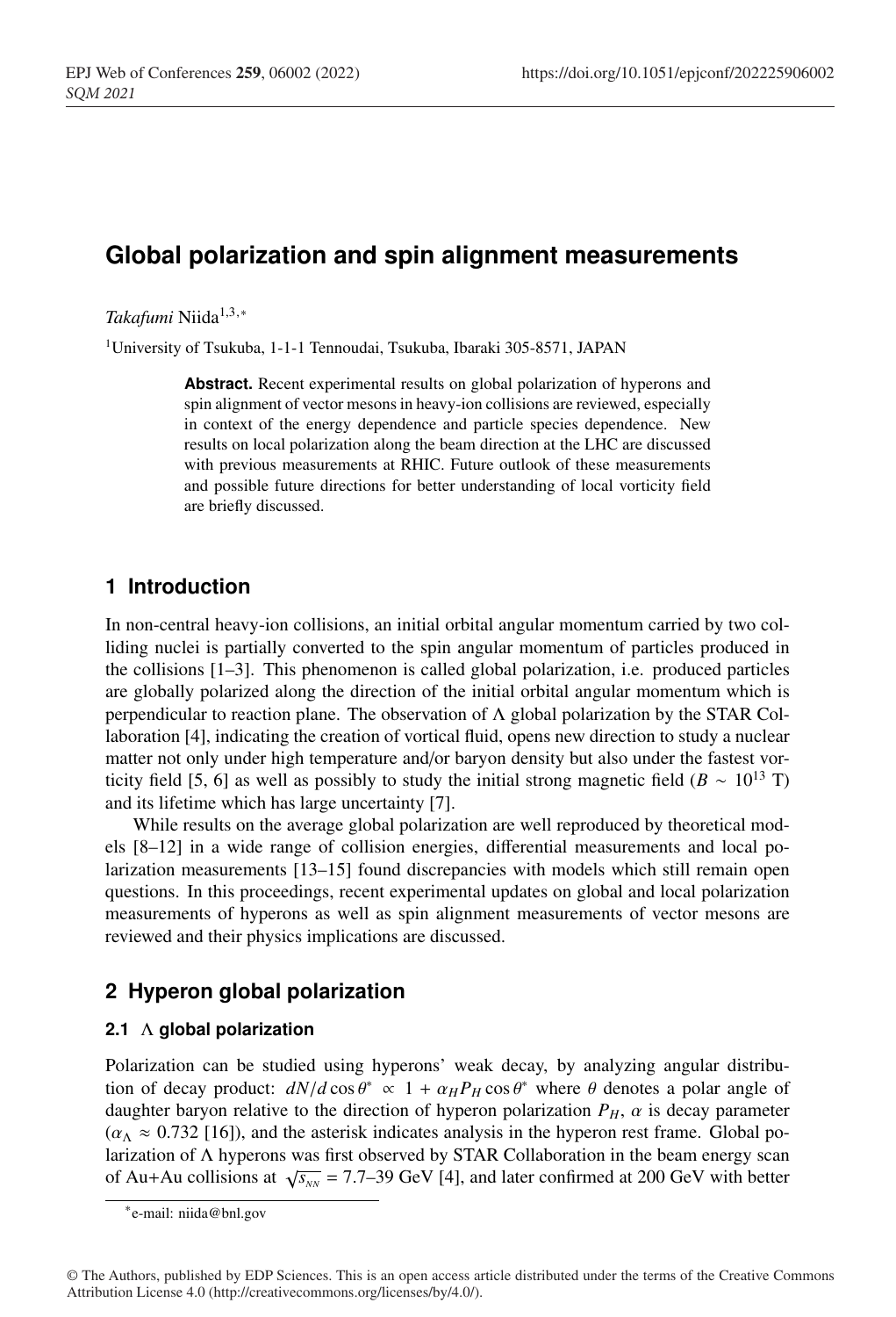# **Global polarization and spin alignment measurements**

*Takafumi* Niida<sup>1,3,∗</sup>

<sup>1</sup>University of Tsukuba, 1-1-1 Tennoudai, Tsukuba, Ibaraki 305-8571, JAPAN

**Abstract.** Recent experimental results on global polarization of hyperons and spin alignment of vector mesons in heavy-ion collisions are reviewed, especially in context of the energy dependence and particle species dependence. New results on local polarization along the beam direction at the LHC are discussed with previous measurements at RHIC. Future outlook of these measurements and possible future directions for better understanding of local vorticity field are briefly discussed.

## **1 Introduction**

In non-central heavy-ion collisions, an initial orbital angular momentum carried by two colliding nuclei is partially converted to the spin angular momentum of particles produced in the collisions [1–3]. This phenomenon is called global polarization, i.e. produced particles are globally polarized along the direction of the initial orbital angular momentum which is perpendicular to reaction plane. The observation of  $\Lambda$  global polarization by the STAR Collaboration [4], indicating the creation of vortical fluid, opens new direction to study a nuclear matter not only under high temperature and/or baryon density but also under the fastest vorticity field [5, 6] as well as possibly to study the initial strong magnetic field ( $B \sim 10^{13}$  T) and its lifetime which has large uncertainty [7].

While results on the average global polarization are well reproduced by theoretical models [8–12] in a wide range of collision energies, differential measurements and local polarization measurements [13–15] found discrepancies with models which still remain open questions. In this proceedings, recent experimental updates on global and local polarization measurements of hyperons as well as spin alignment measurements of vector mesons are reviewed and their physics implications are discussed.

# **2 Hyperon global polarization**

## **2.1** Λ **global polarization**

Polarization can be studied using hyperons' weak decay, by analyzing angular distribution of decay product:  $dN/d\cos\theta^* \propto 1 + \alpha_H P_H \cos\theta^*$  where  $\theta$  denotes a polar angle of daughter baryon relative to the direction of hyperon polarization  $P_H$ ,  $\alpha$  is decay parameter  $(\alpha_{\Lambda} \approx 0.732$  [16]), and the asterisk indicates analysis in the hyperon rest frame. Global polarization of Λ hyperons was first observed by STAR Collaboration in the beam energy scan of Au+Au collisions at  $\sqrt{s_{NN}}$  = 7.7–39 GeV [4], and later confirmed at 200 GeV with better

<sup>∗</sup>e-mail: niida@bnl.gov

<sup>©</sup> The Authors, published by EDP Sciences. This is an open access article distributed under the terms of the Creative Commons Attribution License 4.0 (http://creativecommons.org/licenses/by/4.0/).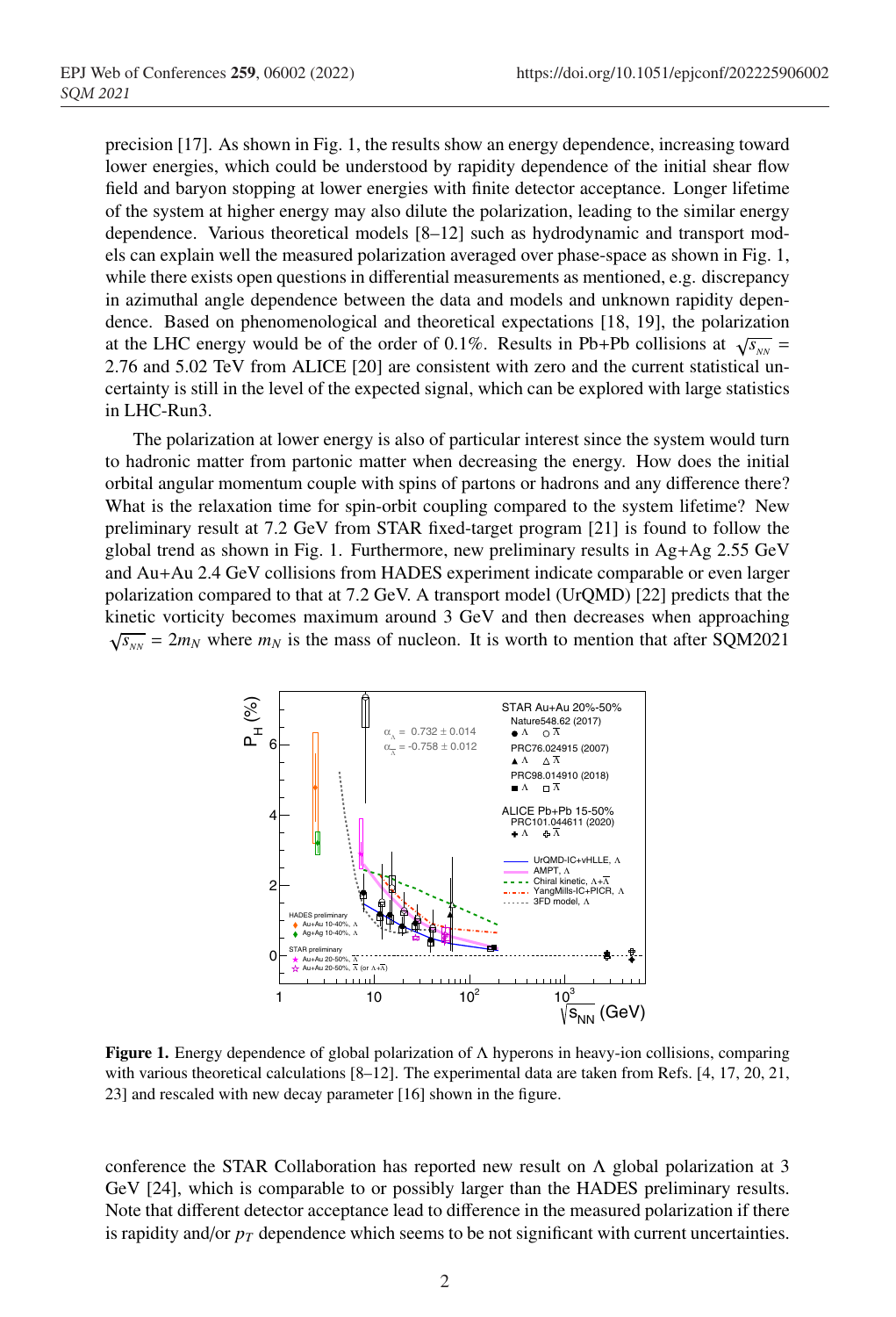precision [17]. As shown in Fig. 1, the results show an energy dependence, increasing toward lower energies, which could be understood by rapidity dependence of the initial shear flow field and baryon stopping at lower energies with finite detector acceptance. Longer lifetime of the system at higher energy may also dilute the polarization, leading to the similar energy dependence. Various theoretical models [8–12] such as hydrodynamic and transport models can explain well the measured polarization averaged over phase-space as shown in Fig. 1, while there exists open questions in differential measurements as mentioned, e.g. discrepancy in azimuthal angle dependence between the data and models and unknown rapidity dependence. Based on phenomenological and theoretical expectations [18, 19], the polarization at the LHC energy would be of the order of 0.1%. Results in Pb+Pb collisions at  $\sqrt{s_{NN}}$  = 2.76 and 5.02 TeV from ALICE [20] are consistent with zero and the current statistical uncertainty is still in the level of the expected signal, which can be explored with large statistics in LHC-Run3.

The polarization at lower energy is also of particular interest since the system would turn to hadronic matter from partonic matter when decreasing the energy. How does the initial orbital angular momentum couple with spins of partons or hadrons and any difference there? What is the relaxation time for spin-orbit coupling compared to the system lifetime? New preliminary result at 7.2 GeV from STAR fixed-target program [21] is found to follow the global trend as shown in Fig. 1. Furthermore, new preliminary results in  $Ag+Ag$  2.55 GeV and Au+Au 2.4 GeV collisions from HADES experiment indicate comparable or even larger polarization compared to that at 7.2 GeV. A transport model (UrQMD) [22] predicts that the kinetic vorticity becomes maximum around 3 GeV and then decreases when approaching  $\sqrt{s_{NN}} = 2m_N$  where  $m_N$  is the mass of nucleon. It is worth to mention that after SQM2021



Figure 1. Energy dependence of global polarization of  $\Lambda$  hyperons in heavy-ion collisions, comparing with various theoretical calculations [8–12]. The experimental data are taken from Refs. [4, 17, 20, 21, 23] and rescaled with new decay parameter [16] shown in the figure.

conference the STAR Collaboration has reported new result on  $\Lambda$  global polarization at 3 GeV [24], which is comparable to or possibly larger than the HADES preliminary results. Note that different detector acceptance lead to difference in the measured polarization if there is rapidity and/or  $p<sub>T</sub>$  dependence which seems to be not significant with current uncertainties.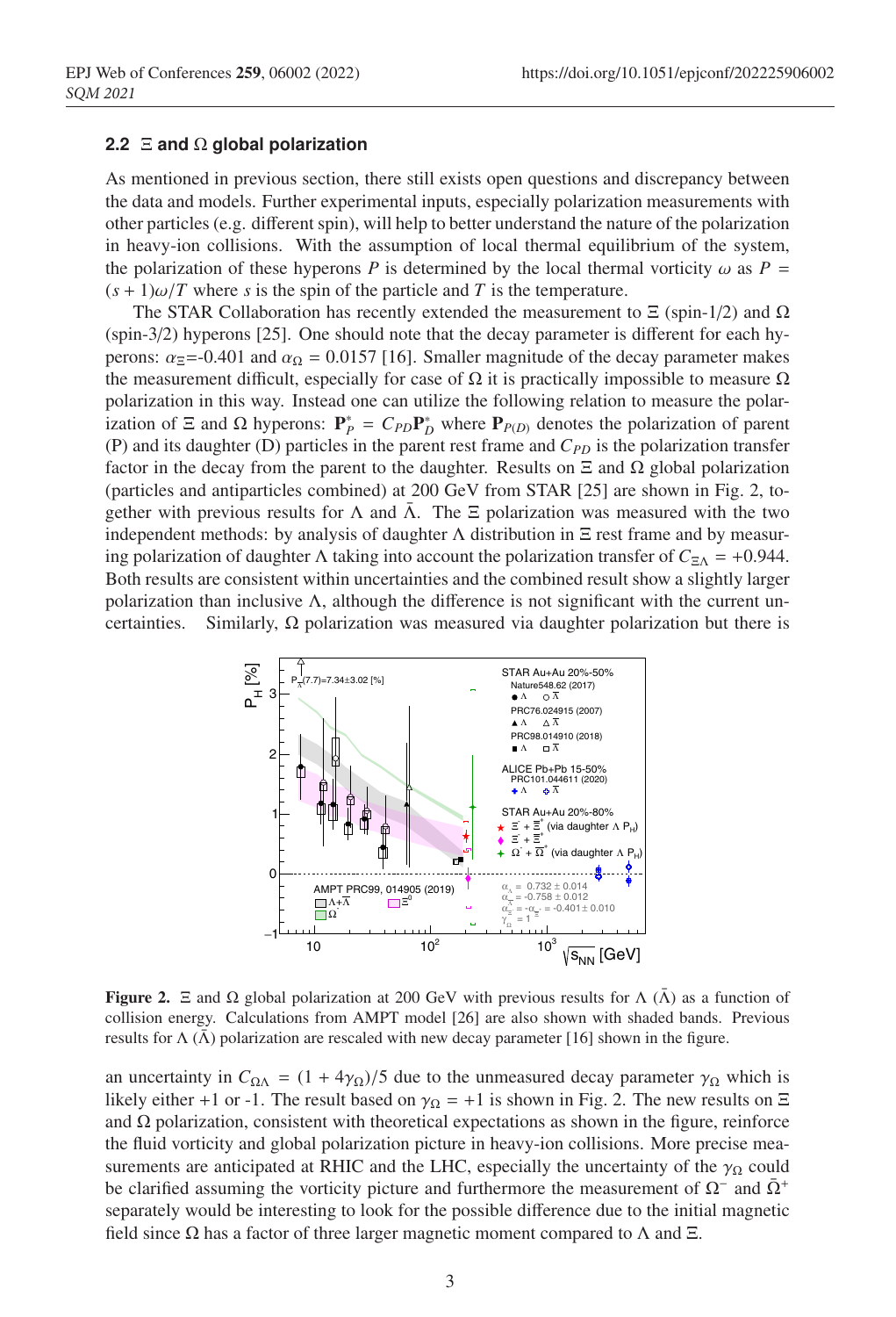### **2.2** Ξ **and** Ω **global polarization**

As mentioned in previous section, there still exists open questions and discrepancy between the data and models. Further experimental inputs, especially polarization measurements with other particles (e.g. different spin), will help to better understand the nature of the polarization in heavy-ion collisions. With the assumption of local thermal equilibrium of the system, the polarization of these hyperons *P* is determined by the local thermal vorticity  $\omega$  as *P* =  $(s + 1)\omega/T$  where *s* is the spin of the particle and *T* is the temperature.

The STAR Collaboration has recently extended the measurement to  $\Xi$  (spin-1/2) and  $\Omega$ (spin-3/2) hyperons [25]. One should note that the decay parameter is different for each hyperons:  $\alpha_{\overline{z}}$ =-0.401 and  $\alpha_{\Omega}$  = 0.0157 [16]. Smaller magnitude of the decay parameter makes the measurement difficult, especially for case of  $\Omega$  it is practically impossible to measure  $\Omega$ polarization in this way. Instead one can utilize the following relation to measure the polarization of  $\Xi$  and  $\Omega$  hyperons:  $P_P^* = C_{PD}P_D^*$  where  $P_{P(D)}$  denotes the polarization of parent (P) and its daughter (D) particles in the parent rest frame and  $C_{PD}$  is the polarization transfer factor in the decay from the parent to the daughter. Results on  $\Xi$  and  $\Omega$  global polarization (particles and antiparticles combined) at 200 GeV from STAR [25] are shown in Fig. 2, together with previous results for  $\Lambda$  and  $\Lambda$ . The  $\Xi$  polarization was measured with the two independent methods: by analysis of daughter  $\Lambda$  distribution in  $\Xi$  rest frame and by measuring polarization of daughter Λ taking into account the polarization transfer of  $C_{\Xi\Lambda}$  = +0.944. Both results are consistent within uncertainties and the combined result show a slightly larger polarization than inclusive  $\Lambda$ , although the difference is not significant with the current uncertainties. Similarly,  $\Omega$  polarization was measured via daughter polarization but there is



**Figure 2.** Ξ and  $\Omega$  global polarization at 200 GeV with previous results for  $\Lambda$  ( $\bar{\Lambda}$ ) as a function of collision energy. Calculations from AMPT model [26] are also shown with shaded bands. Previous results for  $\Lambda(\bar{\Lambda})$  polarization are rescaled with new decay parameter [16] shown in the figure.

an uncertainty in  $C_{\Omega\Lambda} = (1 + 4\gamma_{\Omega})/5$  due to the unmeasured decay parameter  $\gamma_{\Omega}$  which is likely either +1 or -1. The result based on  $\gamma_{\Omega} = +1$  is shown in Fig. 2. The new results on  $\Xi$ and  $\Omega$  polarization, consistent with theoretical expectations as shown in the figure, reinforce the fluid vorticity and global polarization picture in heavy-ion collisions. More precise measurements are anticipated at RHIC and the LHC, especially the uncertainty of the  $\gamma_{\Omega}$  could be clarified assuming the vorticity picture and furthermore the measurement of  $\Omega^-$  and  $\overline{\Omega}^+$ separately would be interesting to look for the possible difference due to the initial magnetic field since  $\Omega$  has a factor of three larger magnetic moment compared to  $\Lambda$  and  $\Xi$ .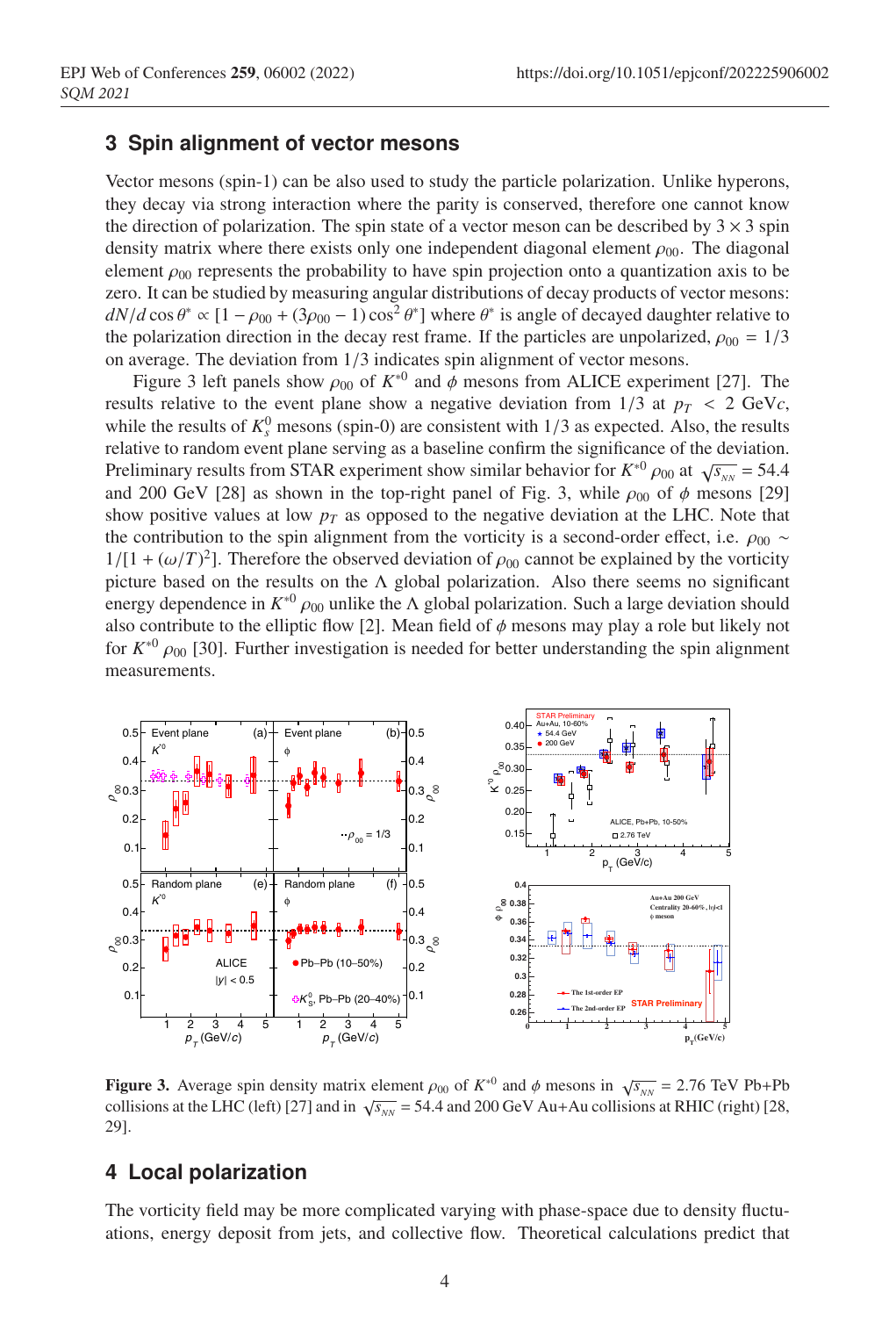## **3 Spin alignment of vector mesons**

Vector mesons (spin-1) can be also used to study the particle polarization. Unlike hyperons, they decay via strong interaction where the parity is conserved, therefore one cannot know the direction of polarization. The spin state of a vector meson can be described by  $3 \times 3$  spin density matrix where there exists only one independent diagonal element  $\rho_{00}$ . The diagonal element  $\rho_{00}$  represents the probability to have spin projection onto a quantization axis to be zero. It can be studied by measuring angular distributions of decay products of vector mesons:  $dN/d\cos\theta^* \propto [1-\rho_{00} + (3\rho_{00} - 1)\cos^2\theta^*]$  where  $\theta^*$  is angle of decayed daughter relative to the polarization direction in the decay rest frame. If the particles are unpolarized,  $\rho_{00} = 1/3$ on average. The deviation from 1/3 indicates spin alignment of vector mesons.

Figure 3 left panels show  $\rho_{00}$  of  $K^{*0}$  and  $\phi$  mesons from ALICE experiment [27]. The results relative to the event plane show a negative deviation from  $1/3$  at  $p_T < 2$  GeVc, while the results of  $K_s^0$  mesons (spin-0) are consistent with  $1/3$  as expected. Also, the results relative to random event plane serving as a baseline confirm the significance of the deviation. Preliminary results from STAR experiment show similar behavior for  $K^{*0} \rho_{00}$  at  $\sqrt{s_{NN}} = 54.4$ and 200 GeV [28] as shown in the top-right panel of Fig. 3, while  $\rho_{00}$  of  $\phi$  mesons [29] show positive values at low  $p<sub>T</sub>$  as opposed to the negative deviation at the LHC. Note that the contribution to the spin alignment from the vorticity is a second-order effect, i.e.  $\rho_{00} \sim$  $1/[1 + (\omega/T)^2]$ . Therefore the observed deviation of  $\rho_{00}$  cannot be explained by the vorticity picture based on the results on the  $\Lambda$  global polarization. Also there seems no significant tenergy dependence in *K*<sup>∗0</sup> *ρ*<sub>00</sub> unlike the Λ global polarization. Such a large deviation should also contribute to the elliptic flow [2]. Mean field of  $\phi$  mesons may play a role but likely not for  $K^{*0}$  and  $\Omega$ . Further investigation is needed for better understanding the spin alignment for  $K^{*0}$   $\rho_{00}$  [30]. Further investigation is needed for better understanding the spin alignment measurements. measurements.



**Figure 3.** Average spin density matrix element  $\rho_{00}$  of  $K^{*0}$  and  $\phi$  mesons in  $\sqrt{s_{NN}} = 2.76$  TeV Pb+Pb 0.2 29]. ...  $\sum_{i=1}^{3}$ Pb<sup>-</sup>Pb<sup>-</sup>Pb<sup>-</sup>Pb<sup>-</sup> collisions at the LHC (left) [27] and in  $\sqrt{s_{NN}} = 54.4$  and 200 GeV Au+Au collisions  $29$ . **Figure 3.** Average spin density matrix element  $\rho_{00}$  of  $K^{*0}$  and  $\phi$  mesons in  $\sqrt{s_{NN}} = 2.76$  TeV Pb+Pb collisions at the LHC (left) [27] and in  $\sqrt{s_{NN}}$  = 54.4 and 200 GeV Au+Au collisions at RHIC (right) [28, 29].

#### ai pulatka 11 45 45 45 45 event plane  $\mathcal{C}$  for  $\mathcal{C}$  for  $K$  (right column) and  $\mathcal{C}$  (right column). The statistical and systematic uncertainties are shown as bars and **4 Local polarization**

ty field may be more complicated varying with phase-space due to density fluctuations, energy deposit from jets, and collective flow. Theoretical calculations predict that The vorticity field may be more complicated varying with phase-space due to density fluctu-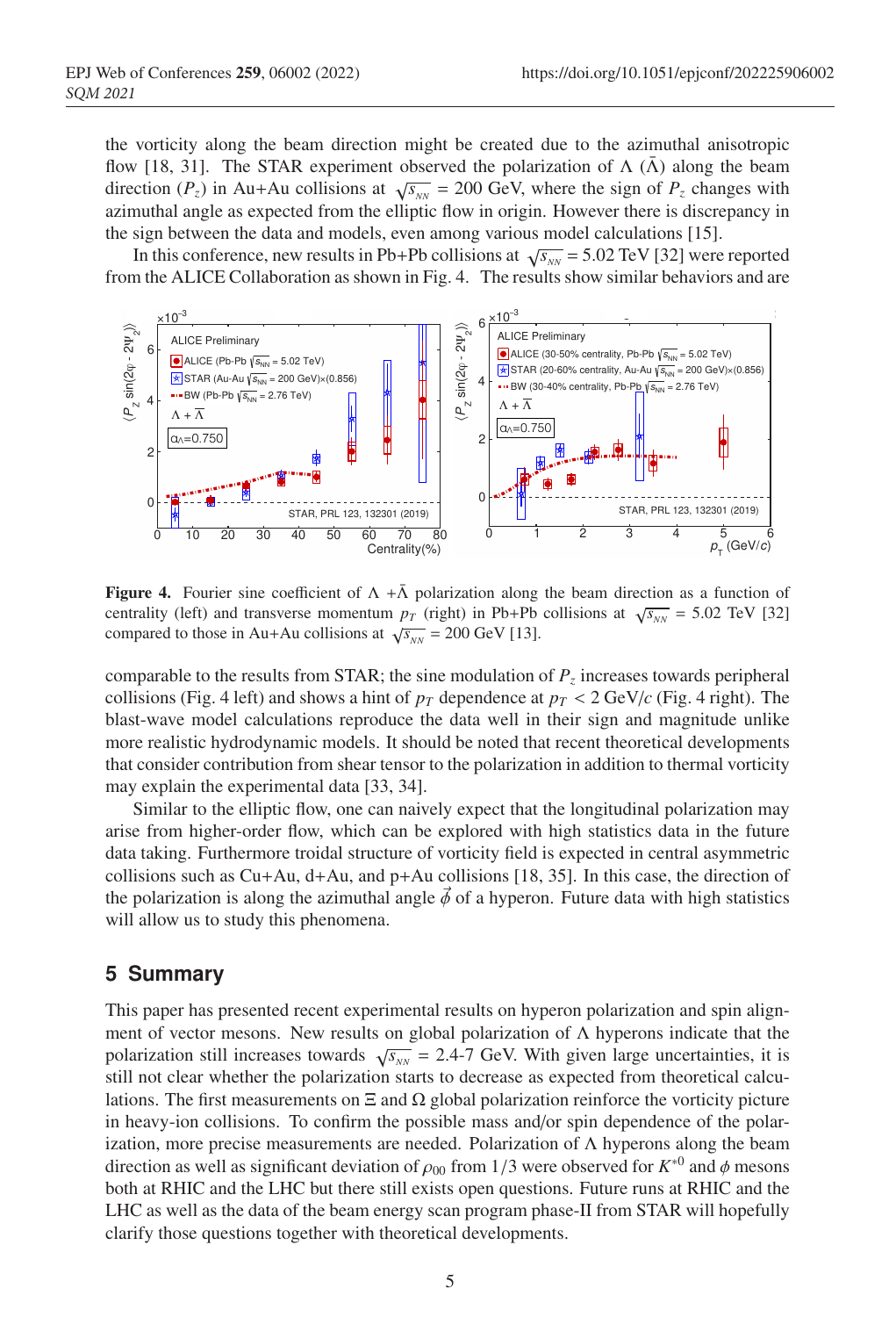$\frac{1}{2}$   $\frac{1}{2}$   $\frac{1}{2}$   $\frac{1}{2}$   $\frac{1}{2}$   $\frac{1}{2}$   $\frac{1}{2}$   $\frac{1}{2}$   $\frac{1}{2}$   $\frac{1}{2}$   $\frac{1}{2}$   $\frac{1}{2}$   $\frac{1}{2}$   $\frac{1}{2}$   $\frac{1}{2}$   $\frac{1}{2}$   $\frac{1}{2}$   $\frac{1}{2}$   $\frac{1}{2}$   $\frac{1}{2}$   $\frac{1}{2}$   $\frac{1}{2}$  flow [18, 31]. The STAR experiment observed the polarization of  $\Lambda$  ( $\bar{\Lambda}$ ) along the beam direction (*P<sub>z</sub>*) in Au+Au collisions at  $\sqrt{s_{NN}}$  = 200 GeV, where the sign of *P<sub>z</sub>* changes with the vorticity along the beam direction might be created due to the azimuthal anisotropic azimuthal angle as expected from the elliptic flow in origin. However there is discrepancy in the sign between the data and models, even among various model calculations [15].<br>In this conference, new results in Pb+Pb collisions at  $\sqrt{s_{\text{max}}}$  = 5.02 TeV [32] were

the sign between the data and models, even among various model calculations [15].<br>In this conference, new results in Pb+Pb collisions at  $\sqrt{s_{_{NN}}}$  = 5.02 TeV [32] were reported from the ALICE Collaboration as shown in Fig. 4. The results show similar behaviors and are



**Figure 4.** Fourier sine coefficient of  $\Lambda + \bar{\Lambda}$  polarization along the beam direction as a function of centrality (left) and transverse momentum  $p_{\pi}$  (right) in Ph+Ph collisions at  $\sqrt{s}$  = 5.02 TeV 1321 centrality (left) and transverse momentum  $p_T$  (right) in Pb+Pb collisions at  $\sqrt{s_{NN}}$  = 5.02 TeV [32] compared to those in Au+Au collisions at  $\sqrt{s_{NN}} = 200 \text{ GeV}$  [13]. <sup>−</sup><sup>3</sup> ×10 〉compared to those in Au+Au collisions at  $\sqrt{s_{NN}}$  = 200 GeV [13].

blast-wave model calculations reproduce the data well in their sign blast-wave model calculations reproduce the data well in their sign more realistic hydrodynamic models. It should be noted that recent theoretical developments may explain the experimental data [33, 34]. comparable to the results from STAR; the sine modulation of  $P_z$  increases towards peripheral comparable to the results from 5 FAR, the sine modulation of  $T_z$  increases towards peripheral collisions (Fig. 4 left) and shows a hint of  $p_T$  dependence at  $p_T < 2 \text{ GeV}/c$  (Fig. 4 right). The blast-wave model calculations reproduce the data well in their sign and magnitude unlike that consider contribution from shear tensor to the polarization in addition to thermal vorticity comparable to the results from STAR; the sine modulation of  $P_z$  increases towards peripheral  $\mathbf{A}$ **Blast-Wave model.**

data taking. Furthermore troidal structure of vorticity field is expected in central asymmetric collisions such as Cu+Au, d+Au, and p+Au collisions [18, 35]. In this case, the direction of Similar to the elliptic flow, one can naively expect that the longitud arise from higher-order flow, which can be explored with high statistics data in the future the polarization is along the azimuthal angle  $\vec{\phi}$  of a hyperon. Future data with high statistics will allow us to study this phenomena.  $\frac{1}{2}$  is the  $\frac{1}{2}$  is the second order e $\frac{1}{2}$ . For example, and Eq. 1 / *Nuclear Physics A 00 (2018) 1–4* 3 milar to the elliptic flow, one can naively expect that the<br>from higher axial flow which can be smallered with high Similar to the elliptic flow, one can naively expect that the longitudinal polarization may

### • Any residual acceptance effects? **S. Summary** can either analyze directly the distributions in **∴** $or, in case of the global polarization direction direction$

ment of vector mesons. New results on global polarization of  $\Lambda$  hyperons indicate that the This paper has presented recent experimental results on hyperon polarization and spin align-Fig. 1. <sup>φ</sup> meson ⇢<sup>00</sup> as a function of *pT* (left) and centrality (right) for Au+Au collisions at <sup>p</sup>*sNN* <sup>=</sup> 200 GeV. ization, more precise measurements are needed. Polarization of Λ hyperons along the beam in heavy-ion collisions. To confirm the possible mass and/or spin dependence of the polarstill not clear whether the polarization starts to decrease as expected from theoretical calcuboth at KHIC and the LHC but there suil exists open questions. Future runs at KHIC and the<br>LHC as well as the data of the beam energy scan program phase-II from STAR will hopefully **0 10 20 30 40 50 60 70 80** Fig. 1. <sup>φ</sup> meson ⇢<sup>00</sup> as a function of *pT* (left) and centrality (right) for Au+Au collisions at <sup>p</sup>*sNN* <sup>=</sup> 200 GeV. Fig. 1. <sup>φ</sup> meson ⇢<sup>00</sup> as a function of *pT* (left) and centrality (right) for Au+Au collisions at <sup>p</sup>*sNN* <sup>=</sup> 200 GeV. polarization still increases towards  $\sqrt{s_{NN}}$  = 2.4-7 GeV. With given large uncertainties, it is lations. The first measurements on Ξ and Ω global polarization reinforce the vorticity picture direction as well as significant deviation of  $\rho_{00}$  from 1/3 were observed for  $K^{*0}$  and  $\phi$  mesons both at RHIC and the LHC but there still exists open questions. Future runs at RHIC and the clarify those questions together with theoretical developments.